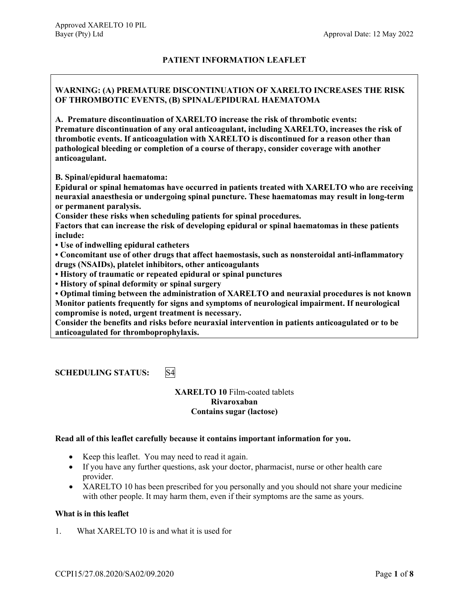# **PATIENT INFORMATION LEAFLET**

# **WARNING: (A) PREMATURE DISCONTINUATION OF XARELTO INCREASES THE RISK OF THROMBOTIC EVENTS, (B) SPINAL/EPIDURAL HAEMATOMA**

**A. Premature discontinuation of XARELTO increase the risk of thrombotic events: Premature discontinuation of any oral anticoagulant, including XARELTO, increases the risk of thrombotic events. If anticoagulation with XARELTO is discontinued for a reason other than pathological bleeding or completion of a course of therapy, consider coverage with another anticoagulant.**

**B. Spinal/epidural haematoma:**

**Epidural or spinal hematomas have occurred in patients treated with XARELTO who are receiving neuraxial anaesthesia or undergoing spinal puncture. These haematomas may result in long-term or permanent paralysis.**

**Consider these risks when scheduling patients for spinal procedures.**

**Factors that can increase the risk of developing epidural or spinal haematomas in these patients include:**

**• Use of indwelling epidural catheters**

**• Concomitant use of other drugs that affect haemostasis, such as nonsteroidal anti-inflammatory drugs (NSAIDs), platelet inhibitors, other anticoagulants**

**• History of traumatic or repeated epidural or spinal punctures**

**• History of spinal deformity or spinal surgery**

**• Optimal timing between the administration of XARELTO and neuraxial procedures is not known Monitor patients frequently for signs and symptoms of neurological impairment. If neurological compromise is noted, urgent treatment is necessary.** 

**Consider the benefits and risks before neuraxial intervention in patients anticoagulated or to be anticoagulated for thromboprophylaxis.**

**SCHEDULING STATUS:** S4

**XARELTO 10** Film-coated tablets **Rivaroxaban Contains sugar (lactose)**

## **Read all of this leaflet carefully because it contains important information for you.**

- Keep this leaflet. You may need to read it again.
- If you have any further questions, ask your doctor, pharmacist, nurse or other health care provider.
- XARELTO 10 has been prescribed for you personally and you should not share your medicine with other people. It may harm them, even if their symptoms are the same as yours.

## **What is in this leaflet**

1. What XARELTO 10 is and what it is used for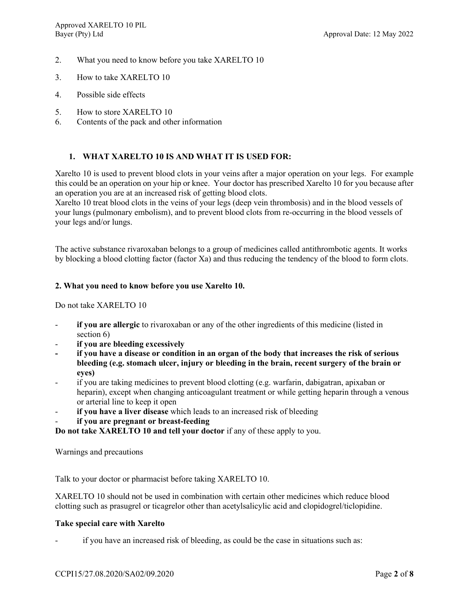- 2. What you need to know before you take XARELTO 10
- 3. How to take XARELTO 10
- 4. Possible side effects
- 5. How to store XARELTO 10
- 6. Contents of the pack and other information

## **1. WHAT XARELTO 10 IS AND WHAT IT IS USED FOR:**

Xarelto 10 is used to prevent blood clots in your veins after a major operation on your legs. For example this could be an operation on your hip or knee. Your doctor has prescribed Xarelto 10 for you because after an operation you are at an increased risk of getting blood clots.

Xarelto 10 treat blood clots in the veins of your legs (deep vein thrombosis) and in the blood vessels of your lungs (pulmonary embolism), and to prevent blood clots from re-occurring in the blood vessels of your legs and/or lungs.

The active substance rivaroxaban belongs to a group of medicines called antithrombotic agents. It works by blocking a blood clotting factor (factor Xa) and thus reducing the tendency of the blood to form clots.

## **2. What you need to know before you use Xarelto 10.**

Do not take XARELTO 10

- **if you are allergic** to rivaroxaban or any of the other ingredients of this medicine (listed in section 6)
- **if you are bleeding excessively**
- **- if you have a disease or condition in an organ of the body that increases the risk of serious bleeding (e.g. stomach ulcer, injury or bleeding in the brain, recent surgery of the brain or eyes)**
- if you are taking medicines to prevent blood clotting (e.g. warfarin, dabigatran, apixaban or heparin), except when changing anticoagulant treatment or while getting heparin through a venous or arterial line to keep it open
- if you have a liver disease which leads to an increased risk of bleeding
- **if you are pregnant or breast-feeding**

**Do not take XARELTO 10 and tell your doctor** if any of these apply to you.

Warnings and precautions

Talk to your doctor or pharmacist before taking XARELTO 10.

XARELTO 10 should not be used in combination with certain other medicines which reduce blood clotting such as prasugrel or ticagrelor other than acetylsalicylic acid and clopidogrel/ticlopidine.

## **Take special care with Xarelto**

if you have an increased risk of bleeding, as could be the case in situations such as: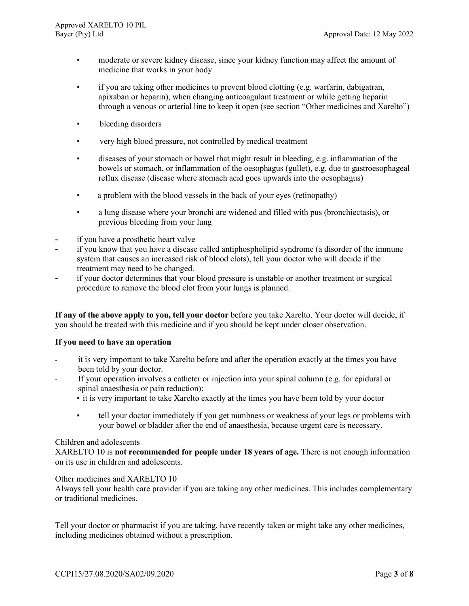- moderate or severe kidney disease, since your kidney function may affect the amount of medicine that works in your body
- if you are taking other medicines to prevent blood clotting (e.g. warfarin, dabigatran, apixaban or heparin), when changing anticoagulant treatment or while getting heparin through a venous or arterial line to keep it open (see section "Other medicines and Xarelto")
- bleeding disorders
- very high blood pressure, not controlled by medical treatment
- diseases of your stomach or bowel that might result in bleeding, e.g. inflammation of the bowels or stomach, or inflammation of the oesophagus (gullet), e.g. due to gastroesophageal reflux disease (disease where stomach acid goes upwards into the oesophagus)
- a problem with the blood vessels in the back of your eyes (retinopathy)
- a lung disease where your bronchi are widened and filled with pus (bronchiectasis), or previous bleeding from your lung
- if you have a prosthetic heart valve
- if you know that you have a disease called antiphospholipid syndrome (a disorder of the immune system that causes an increased risk of blood clots), tell your doctor who will decide if the treatment may need to be changed.
- if your doctor determines that your blood pressure is unstable or another treatment or surgical procedure to remove the blood clot from your lungs is planned.

**If any of the above apply to you, tell your doctor** before you take Xarelto. Your doctor will decide, if you should be treated with this medicine and if you should be kept under closer observation.

# **If you need to have an operation**

- it is very important to take Xarelto before and after the operation exactly at the times you have been told by your doctor.
- If your operation involves a catheter or injection into your spinal column (e.g. for epidural or spinal anaesthesia or pain reduction):
	- it is very important to take Xarelto exactly at the times you have been told by your doctor
		- tell your doctor immediately if you get numbness or weakness of your legs or problems with your bowel or bladder after the end of anaesthesia, because urgent care is necessary.

# Children and adolescents

XARELTO 10 is **not recommended for people under 18 years of age.** There is not enough information on its use in children and adolescents.

# Other medicines and XARELTO 10

Always tell your health care provider if you are taking any other medicines. This includes complementary or traditional medicines.

Tell your doctor or pharmacist if you are taking, have recently taken or might take any other medicines, including medicines obtained without a prescription.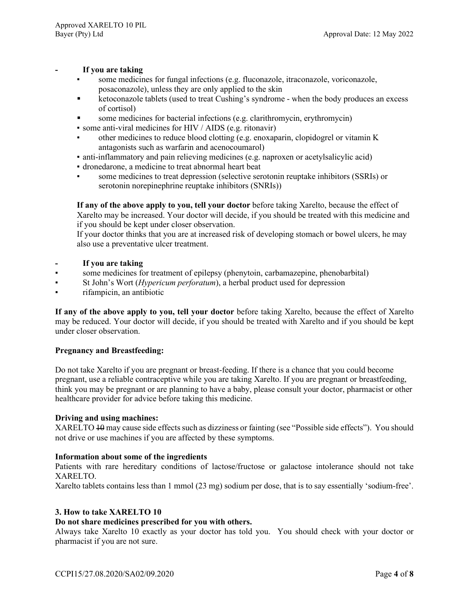## **- If you are taking**

- some medicines for fungal infections (e.g. fluconazole, itraconazole, voriconazole, posaconazole), unless they are only applied to the skin
- **EXECONOM** Exterior tablets (used to treat Cushing's syndrome when the body produces an excess of cortisol)
- some medicines for bacterial infections (e.g. clarithromycin, erythromycin)
- some anti-viral medicines for HIV / AIDS (e.g. ritonavir)
- other medicines to reduce blood clotting (e.g. enoxaparin, clopidogrel or vitamin K antagonists such as warfarin and acenocoumarol)
- anti-inflammatory and pain relieving medicines (e.g. naproxen or acetylsalicylic acid)
- dronedarone, a medicine to treat abnormal heart beat
- some medicines to treat depression (selective serotonin reuptake inhibitors (SSRIs) or serotonin norepinephrine reuptake inhibitors (SNRIs))

**If any of the above apply to you, tell your doctor** before taking Xarelto, because the effect of Xarelto may be increased. Your doctor will decide, if you should be treated with this medicine and if you should be kept under closer observation.

If your doctor thinks that you are at increased risk of developing stomach or bowel ulcers, he may also use a preventative ulcer treatment.

# **- If you are taking**

- some medicines for treatment of epilepsy (phenytoin, carbamazepine, phenobarbital)
- St John's Wort (*Hypericum perforatum*), a herbal product used for depression
- rifampicin, an antibiotic

**If any of the above apply to you, tell your doctor** before taking Xarelto, because the effect of Xarelto may be reduced. Your doctor will decide, if you should be treated with Xarelto and if you should be kept under closer observation.

# **Pregnancy and Breastfeeding:**

Do not take Xarelto if you are pregnant or breast-feeding. If there is a chance that you could become pregnant, use a reliable contraceptive while you are taking Xarelto. If you are pregnant or breastfeeding, think you may be pregnant or are planning to have a baby, please consult your doctor, pharmacist or other healthcare provider for advice before taking this medicine.

## **Driving and using machines:**

XARELTO 10 may cause side effects such as dizziness or fainting (see "Possible side effects"). You should not drive or use machines if you are affected by these symptoms.

# **Information about some of the ingredients**

Patients with rare hereditary conditions of lactose/fructose or galactose intolerance should not take XARELTO.

Xarelto tablets contains less than 1 mmol (23 mg) sodium per dose, that is to say essentially 'sodium-free'.

## **3. How to take XARELTO 10**

# **Do not share medicines prescribed for you with others.**

Always take Xarelto 10 exactly as your doctor has told you. You should check with your doctor or pharmacist if you are not sure.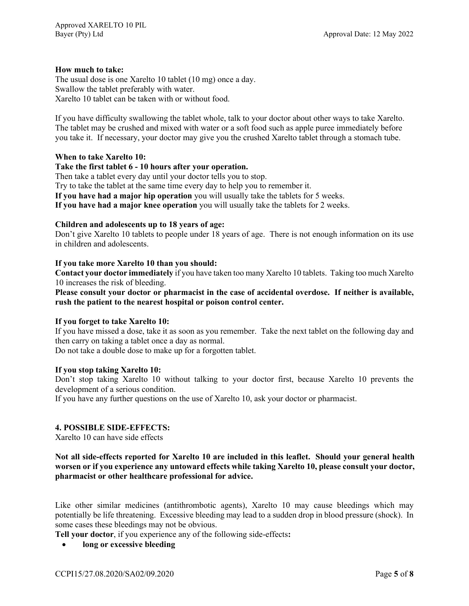# **How much to take:**

The usual dose is one Xarelto 10 tablet (10 mg) once a day. Swallow the tablet preferably with water. Xarelto 10 tablet can be taken with or without food.

If you have difficulty swallowing the tablet whole, talk to your doctor about other ways to take Xarelto. The tablet may be crushed and mixed with water or a soft food such as apple puree immediately before you take it. If necessary, your doctor may give you the crushed Xarelto tablet through a stomach tube.

## **When to take Xarelto 10:**

# **Take the first tablet 6 - 10 hours after your operation.**

Then take a tablet every day until your doctor tells you to stop.

Try to take the tablet at the same time every day to help you to remember it.

**If you have had a major hip operation** you will usually take the tablets for 5 weeks.

**If you have had a major knee operation** you will usually take the tablets for 2 weeks.

## **Children and adolescents up to 18 years of age:**

Don't give Xarelto 10 tablets to people under 18 years of age. There is not enough information on its use in children and adolescents.

## **If you take more Xarelto 10 than you should:**

**Contact your doctor immediately** if you have taken too many Xarelto 10 tablets. Taking too much Xarelto 10 increases the risk of bleeding.

**Please consult your doctor or pharmacist in the case of accidental overdose. If neither is available, rush the patient to the nearest hospital or poison control center.**

## **If you forget to take Xarelto 10:**

If you have missed a dose, take it as soon as you remember. Take the next tablet on the following day and then carry on taking a tablet once a day as normal.

Do not take a double dose to make up for a forgotten tablet.

## **If you stop taking Xarelto 10:**

Don't stop taking Xarelto 10 without talking to your doctor first, because Xarelto 10 prevents the development of a serious condition.

If you have any further questions on the use of Xarelto 10, ask your doctor or pharmacist.

# **4. POSSIBLE SIDE-EFFECTS:**

Xarelto 10 can have side effects

**Not all side-effects reported for Xarelto 10 are included in this leaflet. Should your general health worsen or if you experience any untoward effects while taking Xarelto 10, please consult your doctor, pharmacist or other healthcare professional for advice.**

Like other similar medicines (antithrombotic agents), Xarelto 10 may cause bleedings which may potentially be life threatening. Excessive bleeding may lead to a sudden drop in blood pressure (shock). In some cases these bleedings may not be obvious.

**Tell your doctor**, if you experience any of the following side-effects**:**

• **long or excessive bleeding**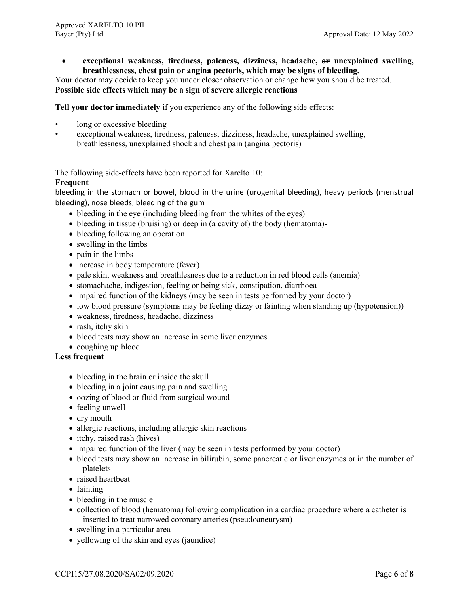• **exceptional weakness, tiredness, paleness, dizziness, headache, or unexplained swelling, breathlessness, chest pain or angina pectoris, which may be signs of bleeding.**

Your doctor may decide to keep you under closer observation or change how you should be treated. **Possible side effects which may be a sign of severe allergic reactions**

**Tell your doctor immediately** if you experience any of the following side effects:

- long or excessive bleeding
- exceptional weakness, tiredness, paleness, dizziness, headache, unexplained swelling, breathlessness, unexplained shock and chest pain (angina pectoris)

The following side-effects have been reported for Xarelto 10:

# **Frequent**

bleeding in the stomach or bowel, blood in the urine (urogenital bleeding), heavy periods (menstrual bleeding), nose bleeds, bleeding of the gum

- bleeding in the eye (including bleeding from the whites of the eyes)
- bleeding in tissue (bruising) or deep in (a cavity of) the body (hematoma)-
- bleeding following an operation
- swelling in the limbs
- pain in the limbs
- increase in body temperature (fever)
- pale skin, weakness and breathlesness due to a reduction in red blood cells (anemia)
- stomachache, indigestion, feeling or being sick, constipation, diarrhoea
- impaired function of the kidneys (may be seen in tests performed by your doctor)
- low blood pressure (symptoms may be feeling dizzy or fainting when standing up (hypotension))
- weakness, tiredness, headache, dizziness
- rash, itchy skin
- blood tests may show an increase in some liver enzymes
- coughing up blood

## **Less frequent**

- bleeding in the brain or inside the skull
- bleeding in a joint causing pain and swelling
- oozing of blood or fluid from surgical wound
- feeling unwell
- dry mouth
- allergic reactions, including allergic skin reactions
- itchy, raised rash (hives)
- impaired function of the liver (may be seen in tests performed by your doctor)
- blood tests may show an increase in bilirubin, some pancreatic or liver enzymes or in the number of platelets
- raised heartbeat
- fainting
- bleeding in the muscle
- collection of blood (hematoma) following complication in a cardiac procedure where a catheter is inserted to treat narrowed coronary arteries (pseudoaneurysm)
- swelling in a particular area
- yellowing of the skin and eyes (jaundice)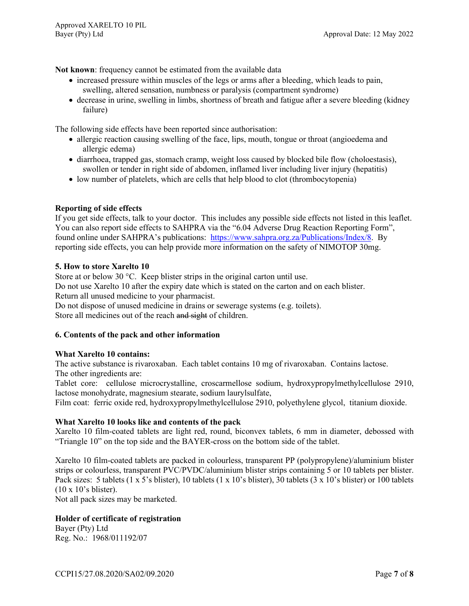**Not known**: frequency cannot be estimated from the available data

- increased pressure within muscles of the legs or arms after a bleeding, which leads to pain, swelling, altered sensation, numbness or paralysis (compartment syndrome)
- decrease in urine, swelling in limbs, shortness of breath and fatigue after a severe bleeding (kidney failure)

The following side effects have been reported since authorisation:

- allergic reaction causing swelling of the face, lips, mouth, tongue or throat (angioedema and allergic edema)
- diarrhoea, trapped gas, stomach cramp, weight loss caused by blocked bile flow (choloestasis), swollen or tender in right side of abdomen, inflamed liver including liver injury (hepatitis)
- low number of platelets, which are cells that help blood to clot (thrombocytopenia)

# **Reporting of side effects**

If you get side effects, talk to your doctor. This includes any possible side effects not listed in this leaflet. You can also report side effects to SAHPRA via the "6.04 Adverse Drug Reaction Reporting Form", found online under SAHPRA's publications: [https://www.sahpra.org.za/Publications/Index/8.](https://www.sahpra.org.za/Publications/Index/8) By reporting side effects, you can help provide more information on the safety of NIMOTOP 30mg.

## **5. How to store Xarelto 10**

Store at or below 30 °C. Keep blister strips in the original carton until use. Do not use Xarelto 10 after the expiry date which is stated on the carton and on each blister. Return all unused medicine to your pharmacist.

Do not dispose of unused medicine in drains or sewerage systems (e.g. toilets). Store all medicines out of the reach and sight of children.

## **6. Contents of the pack and other information**

## **What Xarelto 10 contains:**

The active substance is rivaroxaban. Each tablet contains 10 mg of rivaroxaban. Contains lactose. The other ingredients are:

Tablet core: cellulose microcrystalline, croscarmellose sodium, hydroxypropylmethylcellulose 2910, lactose monohydrate, magnesium stearate, sodium laurylsulfate,

Film coat: ferric oxide red, hydroxypropylmethylcellulose 2910, polyethylene glycol, titanium dioxide.

## **What Xarelto 10 looks like and contents of the pack**

Xarelto 10 film-coated tablets are light red, round, biconvex tablets, 6 mm in diameter, debossed with "Triangle 10" on the top side and the BAYER-cross on the bottom side of the tablet.

Xarelto 10 film-coated tablets are packed in colourless, transparent PP (polypropylene)/aluminium blister strips or colourless, transparent PVC/PVDC/aluminium blister strips containing 5 or 10 tablets per blister. Pack sizes: 5 tablets (1 x 5's blister), 10 tablets (1 x 10's blister), 30 tablets (3 x 10's blister) or 100 tablets (10 x 10's blister).

Not all pack sizes may be marketed.

# **Holder of certificate of registration**

Bayer (Pty) Ltd Reg. No.: 1968/011192/07